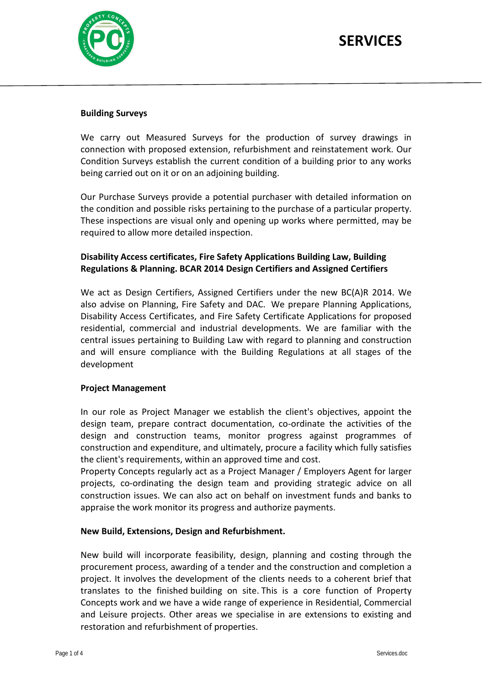

## **Building Surveys**

We carry out Measured Surveys for the production of survey drawings in connection with proposed extension, refurbishment and reinstatement work. Our Condition Surveys establish the current condition of a building prior to any works being carried out on it or on an adjoining building.

Our Purchase Surveys provide a potential purchaser with detailed information on the condition and possible risks pertaining to the purchase of a particular property. These inspections are visual only and opening up works where permitted, may be required to allow more detailed inspection.

## **Disability Access certificates, Fire Safety Applications Building Law, Building Regulations & Planning. BCAR 2014 Design Certifiers and Assigned Certifiers**

We act as Design Certifiers, Assigned Certifiers under the new BC(A)R 2014. We also advise on Planning, Fire Safety and DAC. We prepare Planning Applications, Disability Access Certificates, and Fire Safety Certificate Applications for proposed residential, commercial and industrial developments. We are familiar with the central issues pertaining to Building Law with regard to planning and construction and will ensure compliance with the Building Regulations at all stages of the development

## **Project Management**

In our role as Project Manager we establish the client's objectives, appoint the design team, prepare contract documentation, co-ordinate the activities of the design and construction teams, monitor progress against programmes of construction and expenditure, and ultimately, procure a facility which fully satisfies the client's requirements, within an approved time and cost.

Property Concepts regularly act as a Project Manager / Employers Agent for larger projects, co-ordinating the design team and providing strategic advice on all construction issues. We can also act on behalf on investment funds and banks to appraise the work monitor its progress and authorize payments.

## **New Build, Extensions, Design and Refurbishment.**

New build will incorporate feasibility, design, planning and costing through the procurement process, awarding of a tender and the construction and completion a project. It involves the development of the clients needs to a coherent brief that translates to the finished building on site. This is a core function of Property Concepts work and we have a wide range of experience in Residential, Commercial and Leisure projects. Other areas we specialise in are extensions to existing and restoration and refurbishment of properties.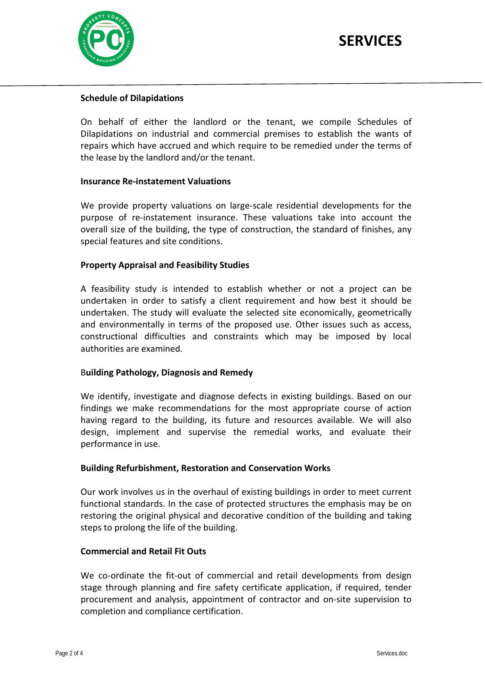

## **Schedule of Dilapidations**

On behalf of either the landlord or the tenant, we compile Schedules of Dilapidations on industrial and commercial premises to establish the wants of repairs which have accrued and which require to be remedied under the terms of the lease by the landlord and/or the tenant.

### **Insurance Re-instatement Valuations**

We provide property valuations on large-scale residential developments for the purpose of re-instatement insurance. These valuations take into account the overall size of the building, the type of construction, the standard of finishes, any special features and site conditions.

### **Property Appraisal and Feasibility Studies**

A feasibility study is intended to establish whether or not a project can be undertaken in order to satisfy a client requirement and how best it should be undertaken. The study will evaluate the selected site economically, geometrically and environmentally in terms of the proposed use. Other issues such as access, constructional difficulties and constraints which may be imposed by local authorities are examined.

## B**uilding Pathology, Diagnosis and Remedy**

We identify, investigate and diagnose defects in existing buildings. Based on our findings we make recommendations for the most appropriate course of action having regard to the building, its future and resources available. We will also design, implement and supervise the remedial works, and evaluate their performance in use.

### **Building Refurbishment, Restoration and Conservation Works**

Our work involves us in the overhaul of existing buildings in order to meet current functional standards. In the case of protected structures the emphasis may be on restoring the original physical and decorative condition of the building and taking steps to prolong the life of the building.

### **Commercial and Retail Fit Outs**

We co-ordinate the fit-out of commercial and retail developments from design stage through planning and fire safety certificate application, if required, tender procurement and analysis, appointment of contractor and on-site supervision to completion and compliance certification.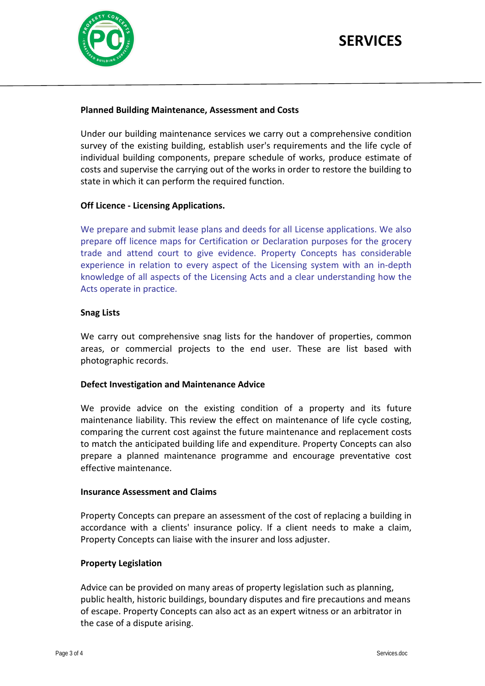

j

## **SERVICES**

## **Planned Building Maintenance, Assessment and Costs**

Under our building maintenance services we carry out a comprehensive condition survey of the existing building, establish user's requirements and the life cycle of individual building components, prepare schedule of works, produce estimate of costs and supervise the carrying out of the works in order to restore the building to state in which it can perform the required function.

### **Off Licence - Licensing Applications.**

We prepare and submit lease plans and deeds for all License applications. We also prepare off licence maps for Certification or Declaration purposes for the grocery trade and attend court to give evidence. Property Concepts has considerable experience in relation to every aspect of the Licensing system with an in-depth knowledge of all aspects of the Licensing Acts and a clear understanding how the Acts operate in practice.

### **Snag Lists**

We carry out comprehensive snag lists for the handover of properties, common areas, or commercial projects to the end user. These are list based with photographic records.

### **Defect Investigation and Maintenance Advice**

We provide advice on the existing condition of a property and its future maintenance liability. This review the effect on maintenance of life cycle costing, comparing the current cost against the future maintenance and replacement costs to match the anticipated building life and expenditure. Property Concepts can also prepare a planned maintenance programme and encourage preventative cost effective maintenance.

### **Insurance Assessment and Claims**

Property Concepts can prepare an assessment of the cost of replacing a building in accordance with a clients' insurance policy. If a client needs to make a claim, Property Concepts can liaise with the insurer and loss adjuster.

### **Property Legislation**

Advice can be provided on many areas of property legislation such as planning, public health, historic buildings, boundary disputes and fire precautions and means of escape. Property Concepts can also act as an expert witness or an arbitrator in the case of a dispute arising.